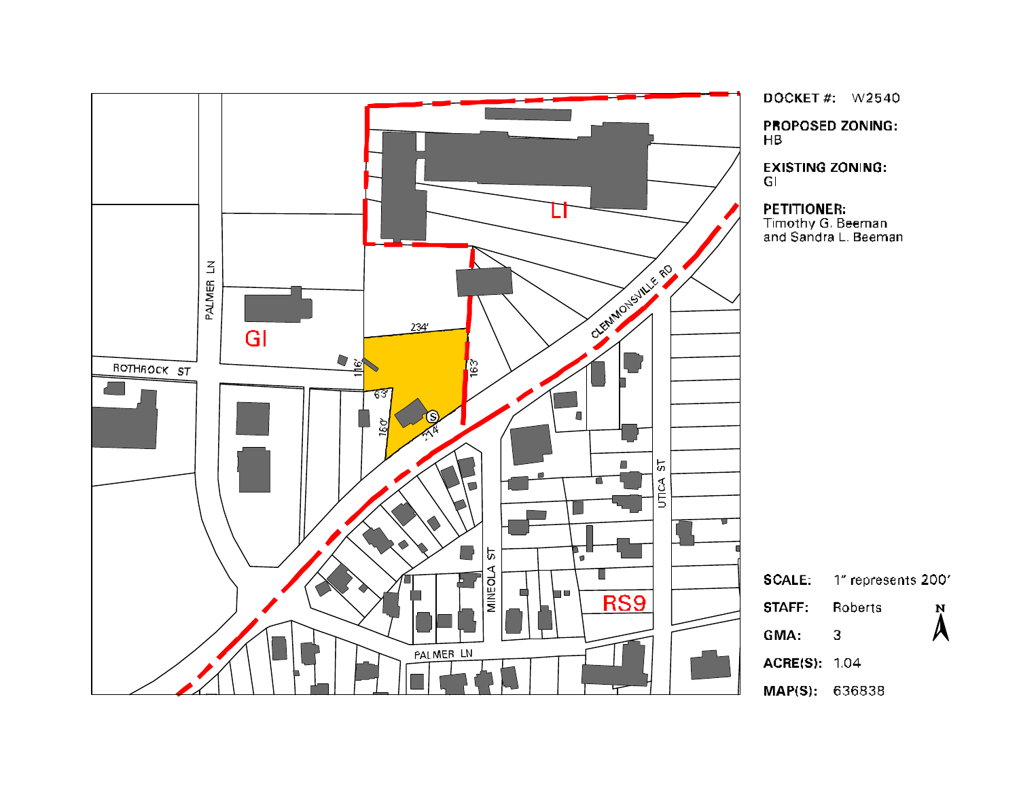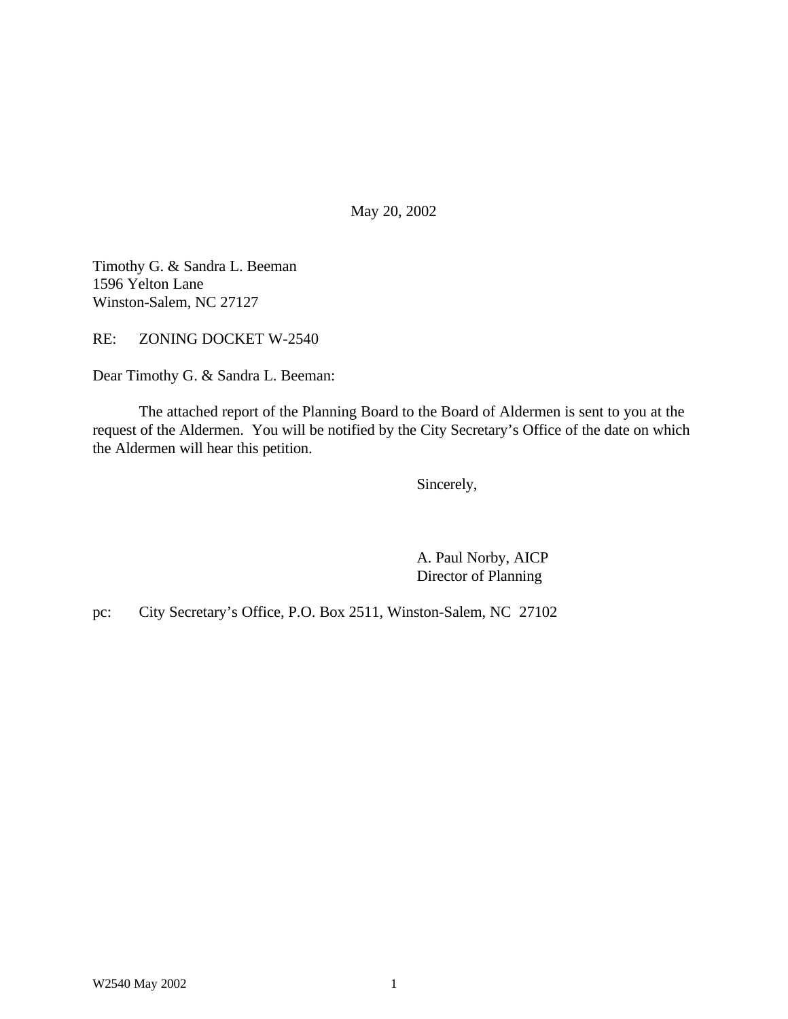May 20, 2002

Timothy G. & Sandra L. Beeman 1596 Yelton Lane Winston-Salem, NC 27127

RE: ZONING DOCKET W-2540

Dear Timothy G. & Sandra L. Beeman:

The attached report of the Planning Board to the Board of Aldermen is sent to you at the request of the Aldermen. You will be notified by the City Secretary's Office of the date on which the Aldermen will hear this petition.

Sincerely,

A. Paul Norby, AICP Director of Planning

pc: City Secretary's Office, P.O. Box 2511, Winston-Salem, NC 27102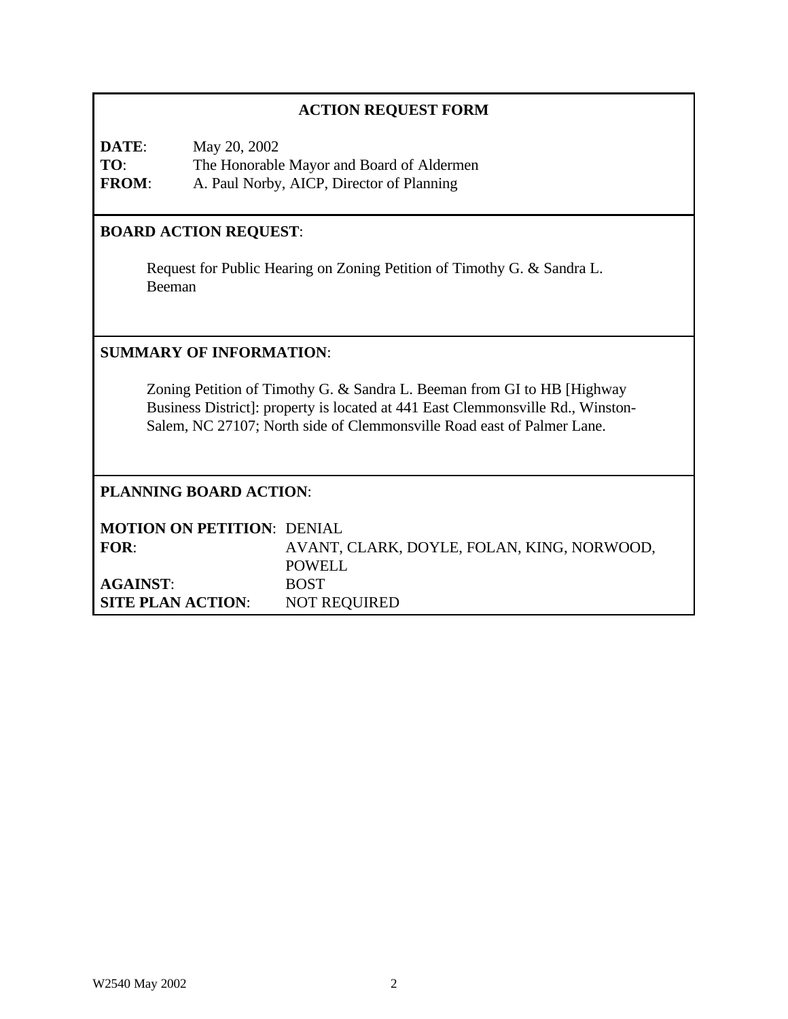|                                                                                                                                                                                                                                       | <b>ACTION REQUEST FORM</b>                                                                             |  |  |
|---------------------------------------------------------------------------------------------------------------------------------------------------------------------------------------------------------------------------------------|--------------------------------------------------------------------------------------------------------|--|--|
| DATE:<br>TO:<br><b>FROM:</b>                                                                                                                                                                                                          | May 20, 2002<br>The Honorable Mayor and Board of Aldermen<br>A. Paul Norby, AICP, Director of Planning |  |  |
| <b>BOARD ACTION REQUEST:</b>                                                                                                                                                                                                          |                                                                                                        |  |  |
| Request for Public Hearing on Zoning Petition of Timothy G. & Sandra L.<br>Beeman                                                                                                                                                     |                                                                                                        |  |  |
| <b>SUMMARY OF INFORMATION:</b>                                                                                                                                                                                                        |                                                                                                        |  |  |
| Zoning Petition of Timothy G. & Sandra L. Beeman from GI to HB [Highway]<br>Business District]: property is located at 441 East Clemmonsville Rd., Winston-<br>Salem, NC 27107; North side of Clemmonsville Road east of Palmer Lane. |                                                                                                        |  |  |
| <b>PLANNING BOARD ACTION:</b>                                                                                                                                                                                                         |                                                                                                        |  |  |
| FOR:                                                                                                                                                                                                                                  | <b>MOTION ON PETITION: DENIAL</b><br>AVANT, CLARK, DOYLE, FOLAN, KING, NORWOOD,<br><b>POWELL</b>       |  |  |
| <b>AGAINST:</b><br><b>SITE PLAN ACTION:</b>                                                                                                                                                                                           | <b>BOST</b><br><b>NOT REQUIRED</b>                                                                     |  |  |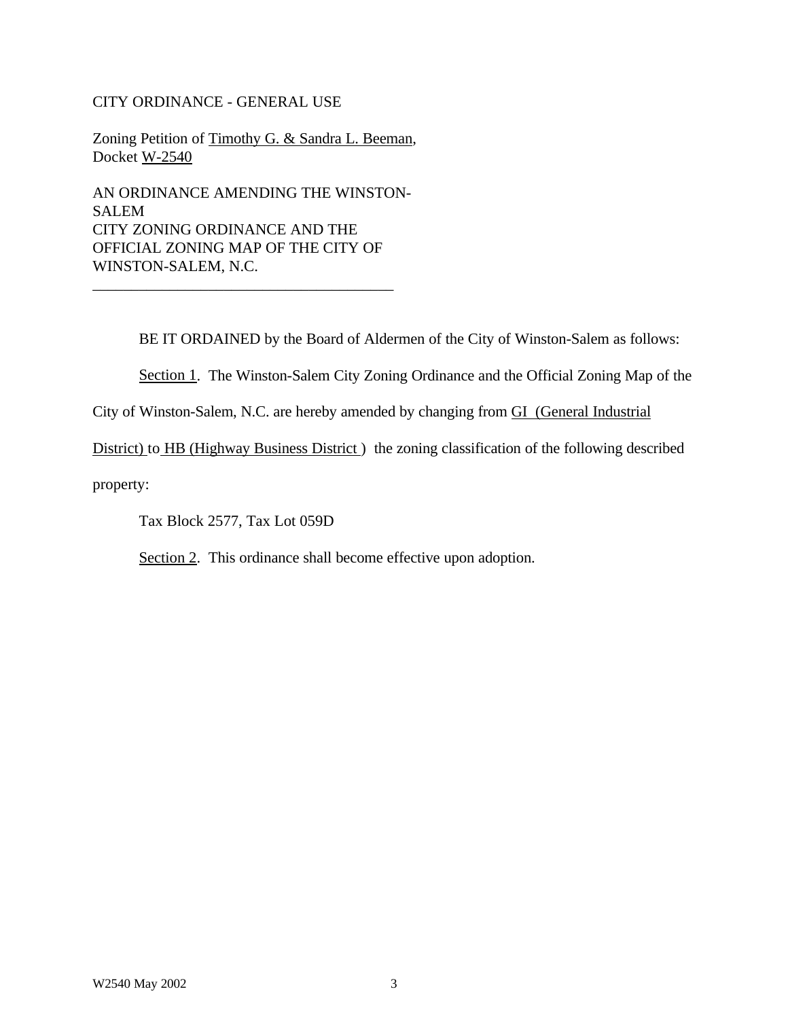#### CITY ORDINANCE - GENERAL USE

Zoning Petition of Timothy G. & Sandra L. Beeman, Docket W-2540

AN ORDINANCE AMENDING THE WINSTON-SALEM CITY ZONING ORDINANCE AND THE OFFICIAL ZONING MAP OF THE CITY OF WINSTON-SALEM, N.C.

\_\_\_\_\_\_\_\_\_\_\_\_\_\_\_\_\_\_\_\_\_\_\_\_\_\_\_\_\_\_\_\_\_\_\_\_\_\_\_

BE IT ORDAINED by the Board of Aldermen of the City of Winston-Salem as follows:

Section 1. The Winston-Salem City Zoning Ordinance and the Official Zoning Map of the

City of Winston-Salem, N.C. are hereby amended by changing from GI (General Industrial

District) to HB (Highway Business District) the zoning classification of the following described

property:

Tax Block 2577, Tax Lot 059D

Section 2. This ordinance shall become effective upon adoption.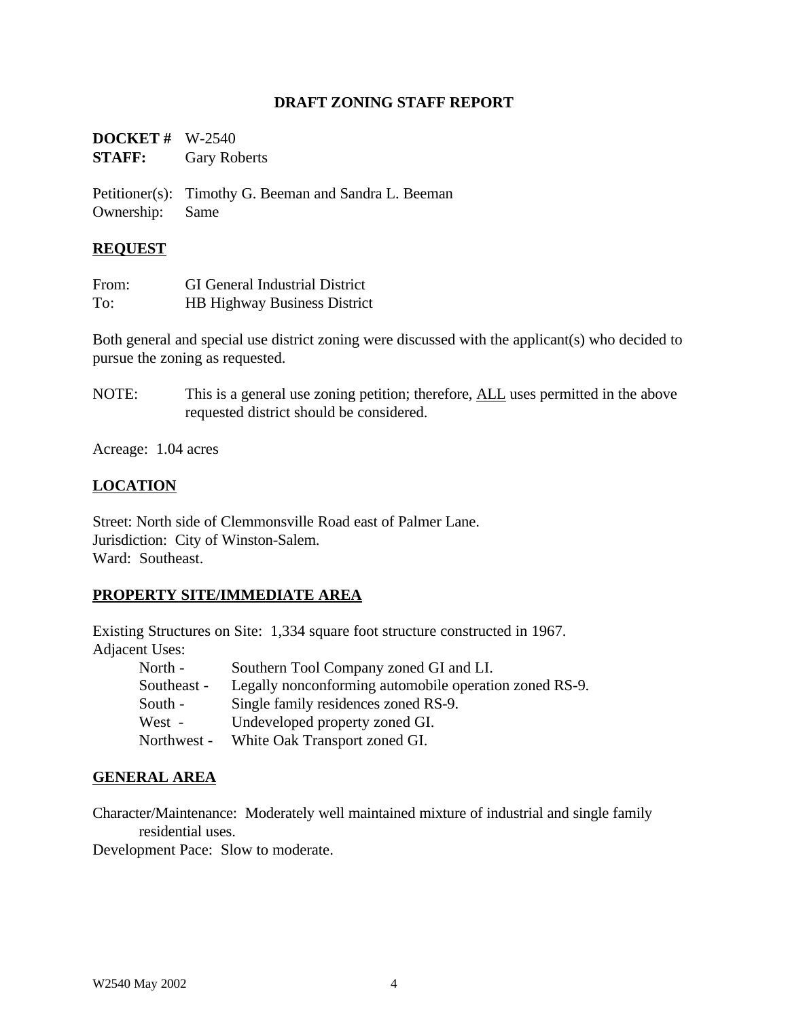#### **DRAFT ZONING STAFF REPORT**

| <b>DOCKET</b> # $W-2540$ |                     |
|--------------------------|---------------------|
| <b>STAFF:</b>            | <b>Gary Roberts</b> |

Petitioner(s): Timothy G. Beeman and Sandra L. Beeman Ownership: Same

#### **REQUEST**

| From: | <b>GI</b> General Industrial District |
|-------|---------------------------------------|
| To:   | <b>HB Highway Business District</b>   |

Both general and special use district zoning were discussed with the applicant(s) who decided to pursue the zoning as requested.

NOTE: This is a general use zoning petition; therefore, ALL uses permitted in the above requested district should be considered.

Acreage: 1.04 acres

### **LOCATION**

Street: North side of Clemmonsville Road east of Palmer Lane. Jurisdiction: City of Winston-Salem. Ward: Southeast.

#### **PROPERTY SITE/IMMEDIATE AREA**

Existing Structures on Site: 1,334 square foot structure constructed in 1967. Adjacent Uses:

| North -     | Southern Tool Company zoned GI and LI.                 |
|-------------|--------------------------------------------------------|
| Southeast - | Legally nonconforming automobile operation zoned RS-9. |
| South -     | Single family residences zoned RS-9.                   |
| West -      | Undeveloped property zoned GI.                         |
| Northwest - | White Oak Transport zoned GI.                          |

#### **GENERAL AREA**

Character/Maintenance: Moderately well maintained mixture of industrial and single family residential uses.

Development Pace: Slow to moderate.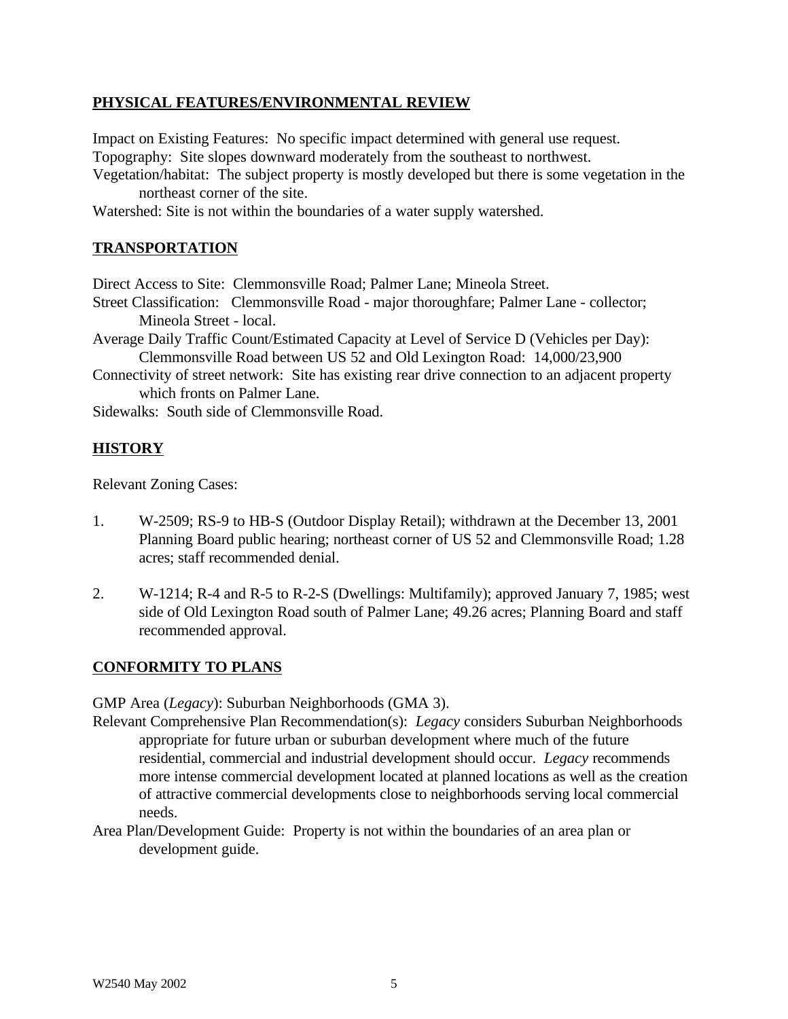### **PHYSICAL FEATURES/ENVIRONMENTAL REVIEW**

Impact on Existing Features: No specific impact determined with general use request. Topography: Site slopes downward moderately from the southeast to northwest.

- Vegetation/habitat: The subject property is mostly developed but there is some vegetation in the northeast corner of the site.
- Watershed: Site is not within the boundaries of a water supply watershed.

### **TRANSPORTATION**

Direct Access to Site: Clemmonsville Road; Palmer Lane; Mineola Street.

- Street Classification: Clemmonsville Road major thoroughfare; Palmer Lane collector; Mineola Street - local.
- Average Daily Traffic Count/Estimated Capacity at Level of Service D (Vehicles per Day): Clemmonsville Road between US 52 and Old Lexington Road: 14,000/23,900
- Connectivity of street network: Site has existing rear drive connection to an adjacent property which fronts on Palmer Lane.

Sidewalks: South side of Clemmonsville Road.

#### **HISTORY**

Relevant Zoning Cases:

- 1. W-2509; RS-9 to HB-S (Outdoor Display Retail); withdrawn at the December 13, 2001 Planning Board public hearing; northeast corner of US 52 and Clemmonsville Road; 1.28 acres; staff recommended denial.
- 2. W-1214; R-4 and R-5 to R-2-S (Dwellings: Multifamily); approved January 7, 1985; west side of Old Lexington Road south of Palmer Lane; 49.26 acres; Planning Board and staff recommended approval.

#### **CONFORMITY TO PLANS**

GMP Area (*Legacy*): Suburban Neighborhoods (GMA 3).

- Relevant Comprehensive Plan Recommendation(s): *Legacy* considers Suburban Neighborhoods appropriate for future urban or suburban development where much of the future residential, commercial and industrial development should occur. *Legacy* recommends more intense commercial development located at planned locations as well as the creation of attractive commercial developments close to neighborhoods serving local commercial needs.
- Area Plan/Development Guide: Property is not within the boundaries of an area plan or development guide.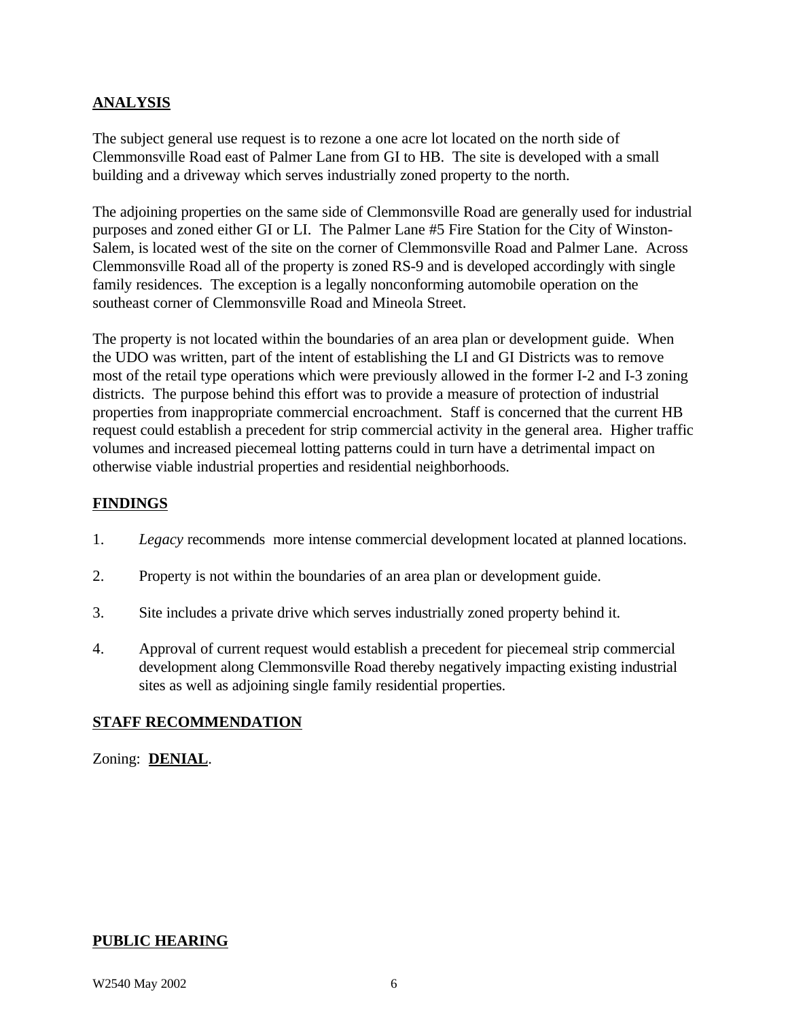# **ANALYSIS**

The subject general use request is to rezone a one acre lot located on the north side of Clemmonsville Road east of Palmer Lane from GI to HB. The site is developed with a small building and a driveway which serves industrially zoned property to the north.

The adjoining properties on the same side of Clemmonsville Road are generally used for industrial purposes and zoned either GI or LI. The Palmer Lane #5 Fire Station for the City of Winston-Salem, is located west of the site on the corner of Clemmonsville Road and Palmer Lane. Across Clemmonsville Road all of the property is zoned RS-9 and is developed accordingly with single family residences. The exception is a legally nonconforming automobile operation on the southeast corner of Clemmonsville Road and Mineola Street.

The property is not located within the boundaries of an area plan or development guide. When the UDO was written, part of the intent of establishing the LI and GI Districts was to remove most of the retail type operations which were previously allowed in the former I-2 and I-3 zoning districts. The purpose behind this effort was to provide a measure of protection of industrial properties from inappropriate commercial encroachment. Staff is concerned that the current HB request could establish a precedent for strip commercial activity in the general area. Higher traffic volumes and increased piecemeal lotting patterns could in turn have a detrimental impact on otherwise viable industrial properties and residential neighborhoods.

# **FINDINGS**

- 1. *Legacy* recommends more intense commercial development located at planned locations.
- 2. Property is not within the boundaries of an area plan or development guide.
- 3. Site includes a private drive which serves industrially zoned property behind it.
- 4. Approval of current request would establish a precedent for piecemeal strip commercial development along Clemmonsville Road thereby negatively impacting existing industrial sites as well as adjoining single family residential properties.

# **STAFF RECOMMENDATION**

# Zoning: **DENIAL**.

# **PUBLIC HEARING**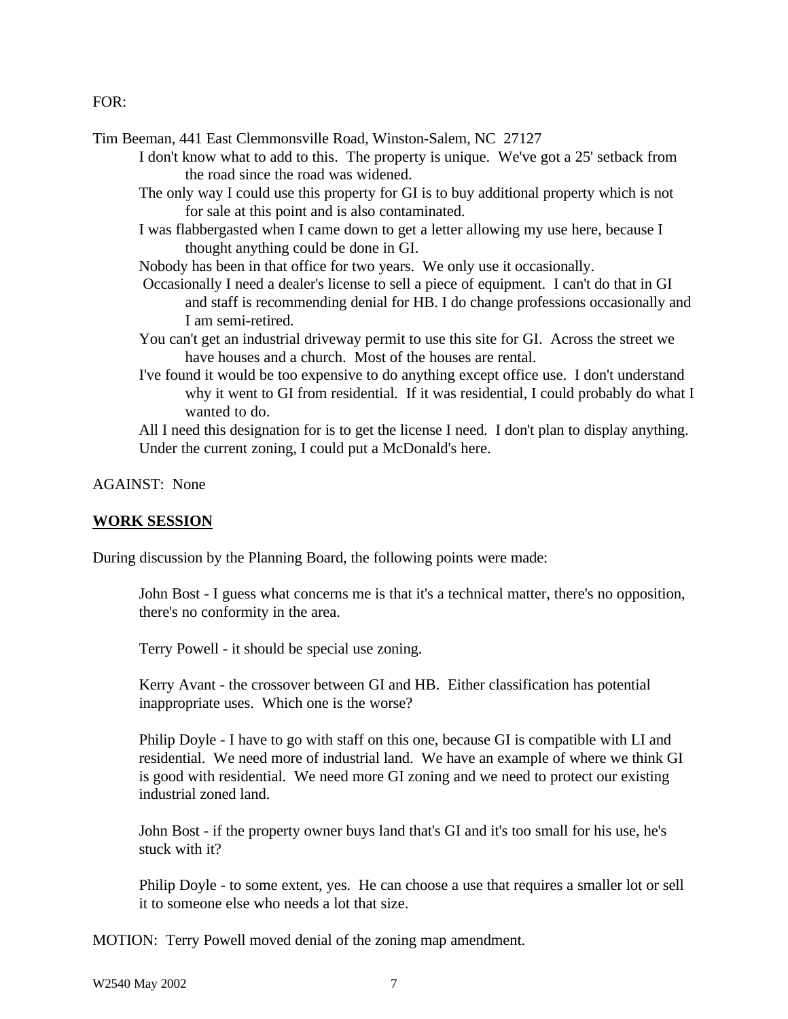FOR:

Tim Beeman, 441 East Clemmonsville Road, Winston-Salem, NC 27127

- I don't know what to add to this. The property is unique. We've got a 25' setback from the road since the road was widened.
- The only way I could use this property for GI is to buy additional property which is not for sale at this point and is also contaminated.
- I was flabbergasted when I came down to get a letter allowing my use here, because I thought anything could be done in GI.

Nobody has been in that office for two years. We only use it occasionally.

- Occasionally I need a dealer's license to sell a piece of equipment. I can't do that in GI and staff is recommending denial for HB. I do change professions occasionally and I am semi-retired.
- You can't get an industrial driveway permit to use this site for GI. Across the street we have houses and a church. Most of the houses are rental.
- I've found it would be too expensive to do anything except office use. I don't understand why it went to GI from residential. If it was residential, I could probably do what I wanted to do.

All I need this designation for is to get the license I need. I don't plan to display anything. Under the current zoning, I could put a McDonald's here.

AGAINST: None

#### **WORK SESSION**

During discussion by the Planning Board, the following points were made:

John Bost - I guess what concerns me is that it's a technical matter, there's no opposition, there's no conformity in the area.

Terry Powell - it should be special use zoning.

Kerry Avant - the crossover between GI and HB. Either classification has potential inappropriate uses. Which one is the worse?

Philip Doyle - I have to go with staff on this one, because GI is compatible with LI and residential. We need more of industrial land. We have an example of where we think GI is good with residential. We need more GI zoning and we need to protect our existing industrial zoned land.

John Bost - if the property owner buys land that's GI and it's too small for his use, he's stuck with it?

Philip Doyle - to some extent, yes. He can choose a use that requires a smaller lot or sell it to someone else who needs a lot that size.

MOTION: Terry Powell moved denial of the zoning map amendment.